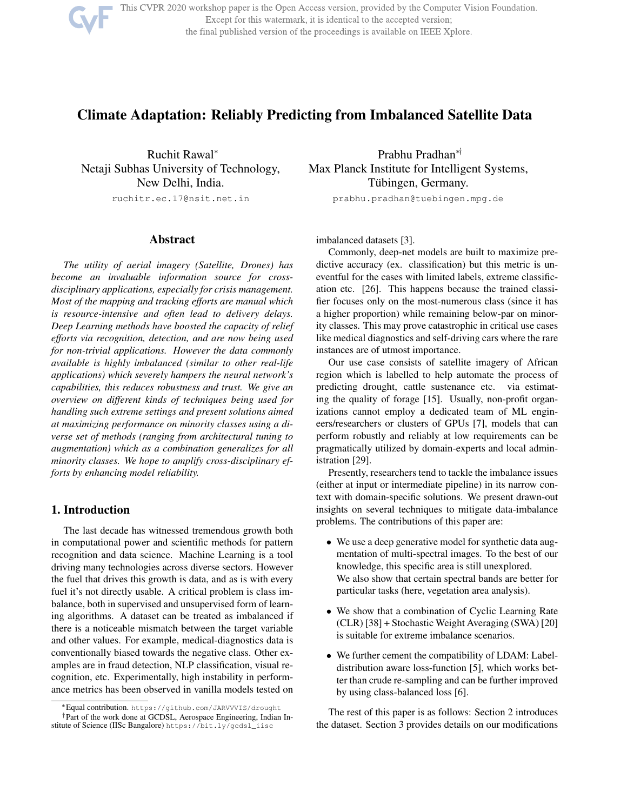

This CVPR 2020 workshop paper is the Open Access version, provided by the Computer Vision Foundation. Except for this watermark, it is identical to the accepted version; the final published version of the proceedings is available on IEEE Xplore.

# Climate Adaptation: Reliably Predicting from Imbalanced Satellite Data

Ruchit Rawal<sup>∗</sup> Netaji Subhas University of Technology, New Delhi, India. ruchitr.ec.17@nsit.net.in

# Abstract

*The utility of aerial imagery (Satellite, Drones) has become an invaluable information source for crossdisciplinary applications, especially for crisis management. Most of the mapping and tracking efforts are manual which is resource-intensive and often lead to delivery delays. Deep Learning methods have boosted the capacity of relief efforts via recognition, detection, and are now being used for non-trivial applications. However the data commonly available is highly imbalanced (similar to other real-life applications) which severely hampers the neural network's capabilities, this reduces robustness and trust. We give an overview on different kinds of techniques being used for handling such extreme settings and present solutions aimed at maximizing performance on minority classes using a diverse set of methods (ranging from architectural tuning to augmentation) which as a combination generalizes for all minority classes. We hope to amplify cross-disciplinary efforts by enhancing model reliability.*

### 1. Introduction

The last decade has witnessed tremendous growth both in computational power and scientific methods for pattern recognition and data science. Machine Learning is a tool driving many technologies across diverse sectors. However the fuel that drives this growth is data, and as is with every fuel it's not directly usable. A critical problem is class imbalance, both in supervised and unsupervised form of learning algorithms. A dataset can be treated as imbalanced if there is a noticeable mismatch between the target variable and other values. For example, medical-diagnostics data is conventionally biased towards the negative class. Other examples are in fraud detection, NLP classification, visual recognition, etc. Experimentally, high instability in performance metrics has been observed in vanilla models tested on

Prabhu Pradhan∗† Max Planck Institute for Intelligent Systems, Tübingen, Germany.

prabhu.pradhan@tuebingen.mpg.de

imbalanced datasets [3].

Commonly, deep-net models are built to maximize predictive accuracy (ex. classification) but this metric is uneventful for the cases with limited labels, extreme classification etc. [26]. This happens because the trained classifier focuses only on the most-numerous class (since it has a higher proportion) while remaining below-par on minority classes. This may prove catastrophic in critical use cases like medical diagnostics and self-driving cars where the rare instances are of utmost importance.

Our use case consists of satellite imagery of African region which is labelled to help automate the process of predicting drought, cattle sustenance etc. via estimating the quality of forage [15]. Usually, non-profit organizations cannot employ a dedicated team of ML engineers/researchers or clusters of GPUs [7], models that can perform robustly and reliably at low requirements can be pragmatically utilized by domain-experts and local administration [29].

Presently, researchers tend to tackle the imbalance issues (either at input or intermediate pipeline) in its narrow context with domain-specific solutions. We present drawn-out insights on several techniques to mitigate data-imbalance problems. The contributions of this paper are:

- We use a deep generative model for synthetic data augmentation of multi-spectral images. To the best of our knowledge, this specific area is still unexplored. We also show that certain spectral bands are better for particular tasks (here, vegetation area analysis).
- We show that a combination of Cyclic Learning Rate (CLR) [38] + Stochastic Weight Averaging (SWA) [20] is suitable for extreme imbalance scenarios.
- We further cement the compatibility of LDAM: Labeldistribution aware loss-function [5], which works better than crude re-sampling and can be further improved by using class-balanced loss [6].

The rest of this paper is as follows: Section 2 introduces the dataset. Section 3 provides details on our modifications

<sup>∗</sup>Equal contribution. https://github.com/JARVVVIS/drought †Part of the work done at GCDSL, Aerospace Engineering, Indian Institute of Science (IISc Bangalore) https://bit.ly/gcdsl\_iisc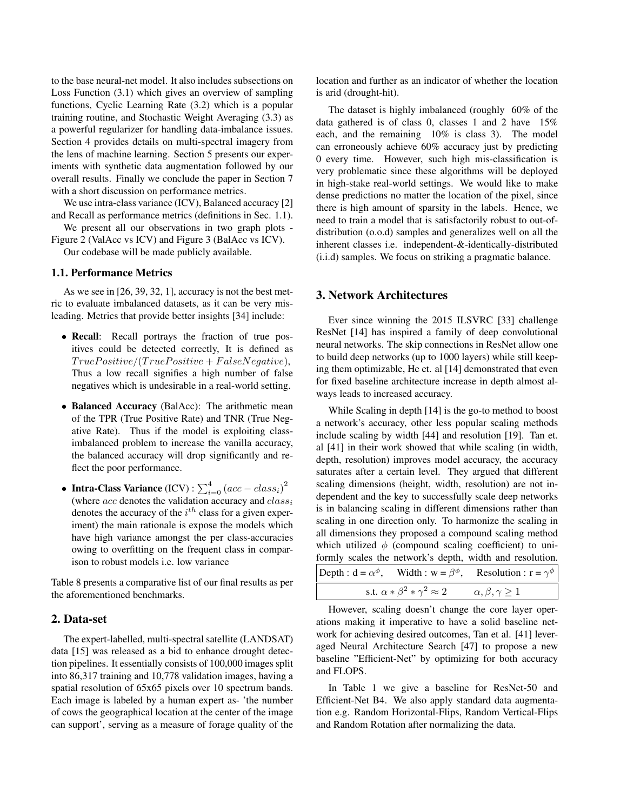to the base neural-net model. It also includes subsections on Loss Function (3.1) which gives an overview of sampling functions, Cyclic Learning Rate (3.2) which is a popular training routine, and Stochastic Weight Averaging (3.3) as a powerful regularizer for handling data-imbalance issues. Section 4 provides details on multi-spectral imagery from the lens of machine learning. Section 5 presents our experiments with synthetic data augmentation followed by our overall results. Finally we conclude the paper in Section 7 with a short discussion on performance metrics.

We use intra-class variance (ICV), Balanced accuracy [2] and Recall as performance metrics (definitions in Sec. 1.1).

We present all our observations in two graph plots -

Figure 2 (ValAcc vs ICV) and Figure 3 (BalAcc vs ICV). Our codebase will be made publicly available.

# 1.1. Performance Metrics

As we see in [26, 39, 32, 1], accuracy is not the best metric to evaluate imbalanced datasets, as it can be very misleading. Metrics that provide better insights [34] include:

- Recall: Recall portrays the fraction of true positives could be detected correctly, It is defined as  $True Positive / (True Positive + False Negative),$ Thus a low recall signifies a high number of false negatives which is undesirable in a real-world setting.
- Balanced Accuracy (BalAcc): The arithmetic mean of the TPR (True Positive Rate) and TNR (True Negative Rate). Thus if the model is exploiting classimbalanced problem to increase the vanilla accuracy, the balanced accuracy will drop significantly and reflect the poor performance.
- Intra-Class Variance (ICV) :  $\sum_{i=0}^{4} (acc class_i)^2$ (where  $acc$  denotes the validation accuracy and  $class_i$ denotes the accuracy of the  $i<sup>th</sup>$  class for a given experiment) the main rationale is expose the models which have high variance amongst the per class-accuracies owing to overfitting on the frequent class in comparison to robust models i.e. low variance

Table 8 presents a comparative list of our final results as per the aforementioned benchmarks.

## 2. Data-set

The expert-labelled, multi-spectral satellite (LANDSAT) data [15] was released as a bid to enhance drought detection pipelines. It essentially consists of 100,000 images split into 86,317 training and 10,778 validation images, having a spatial resolution of 65x65 pixels over 10 spectrum bands. Each image is labeled by a human expert as- 'the number of cows the geographical location at the center of the image can support', serving as a measure of forage quality of the

location and further as an indicator of whether the location is arid (drought-hit).

The dataset is highly imbalanced (roughly 60% of the data gathered is of class 0, classes 1 and 2 have 15% each, and the remaining 10% is class 3). The model can erroneously achieve 60% accuracy just by predicting 0 every time. However, such high mis-classification is very problematic since these algorithms will be deployed in high-stake real-world settings. We would like to make dense predictions no matter the location of the pixel, since there is high amount of sparsity in the labels. Hence, we need to train a model that is satisfactorily robust to out-ofdistribution (o.o.d) samples and generalizes well on all the inherent classes i.e. independent-&-identically-distributed (i.i.d) samples. We focus on striking a pragmatic balance.

## 3. Network Architectures

Ever since winning the 2015 ILSVRC [33] challenge ResNet [14] has inspired a family of deep convolutional neural networks. The skip connections in ResNet allow one to build deep networks (up to 1000 layers) while still keeping them optimizable, He et. al [14] demonstrated that even for fixed baseline architecture increase in depth almost always leads to increased accuracy.

While Scaling in depth [14] is the go-to method to boost a network's accuracy, other less popular scaling methods include scaling by width [44] and resolution [19]. Tan et. al [41] in their work showed that while scaling (in width, depth, resolution) improves model accuracy, the accuracy saturates after a certain level. They argued that different scaling dimensions (height, width, resolution) are not independent and the key to successfully scale deep networks is in balancing scaling in different dimensions rather than scaling in one direction only. To harmonize the scaling in all dimensions they proposed a compound scaling method which utilized  $\phi$  (compound scaling coefficient) to uniformly scales the network's depth, width and resolution. Depth :  $d = \alpha^{\phi}$ , Width : w =  $\beta^{\phi}$ , Resolution :  $r = \gamma^{\phi}$ s.t.  $\alpha * \beta^2 * \gamma$  $\alpha, \beta, \gamma \geq 1$ 

However, scaling doesn't change the core layer operations making it imperative to have a solid baseline network for achieving desired outcomes, Tan et al. [41] leveraged Neural Architecture Search [47] to propose a new baseline "Efficient-Net" by optimizing for both accuracy and FLOPS.

In Table 1 we give a baseline for ResNet-50 and Efficient-Net B4. We also apply standard data augmentation e.g. Random Horizontal-Flips, Random Vertical-Flips and Random Rotation after normalizing the data.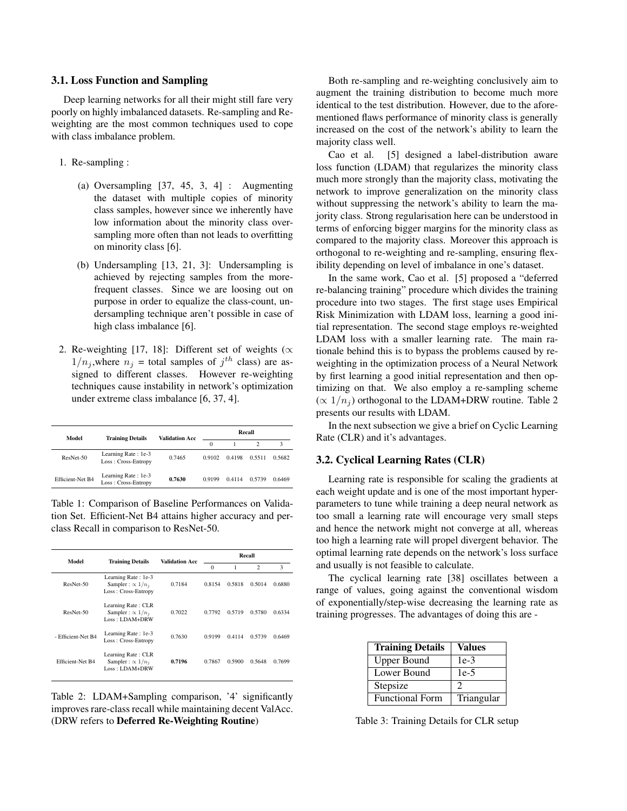#### 3.1. Loss Function and Sampling

Deep learning networks for all their might still fare very poorly on highly imbalanced datasets. Re-sampling and Reweighting are the most common techniques used to cope with class imbalance problem.

- 1. Re-sampling :
	- (a) Oversampling [37, 45, 3, 4] : Augmenting the dataset with multiple copies of minority class samples, however since we inherently have low information about the minority class oversampling more often than not leads to overfitting on minority class [6].
	- (b) Undersampling [13, 21, 3]: Undersampling is achieved by rejecting samples from the morefrequent classes. Since we are loosing out on purpose in order to equalize the class-count, undersampling technique aren't possible in case of high class imbalance [6].
- 2. Re-weighting [17, 18]: Different set of weights ( $\propto$  $1/n_j$ , where  $n_j$  = total samples of  $j^{th}$  class) are assigned to different classes. However re-weighting techniques cause instability in network's optimization under extreme class imbalance [6, 37, 4].

| Model                   | <b>Training Details</b>                    | <b>Validation Acc.</b> | Recall   |        |        |        |  |
|-------------------------|--------------------------------------------|------------------------|----------|--------|--------|--------|--|
|                         |                                            |                        | $\Omega$ |        |        | 3      |  |
| ResNet-50               | Learning Rate: 1e-3<br>Loss: Cross-Entropy | 0.7465                 | 0.9102   | 0.4198 | 0.5511 | 0.5682 |  |
| <b>Efficient-Net B4</b> | Learning Rate: 1e-3<br>Loss: Cross-Entropy | 0.7630                 | 0.9199   | 0.4114 | 0.5739 | 0.6469 |  |

Table 1: Comparison of Baseline Performances on Validation Set. Efficient-Net B4 attains higher accuracy and perclass Recall in comparison to ResNet-50.

| Model              | <b>Validation Acc</b><br><b>Training Details</b>                        |          | Recall |                |        |        |  |
|--------------------|-------------------------------------------------------------------------|----------|--------|----------------|--------|--------|--|
|                    |                                                                         | $\Omega$ |        | $\overline{c}$ | 3      |        |  |
| ResNet-50          | Learning Rate: 1e-3<br>Sampler : $\propto 1/n_i$<br>Loss: Cross-Entropy | 0.7184   | 0.8154 | 0.5818         | 0.5014 | 0.6880 |  |
| ResNet-50          | Learning Rate: CLR<br>Sampler : $\propto 1/n_i$<br>$Loss: LDAM+DRW$     | 0.7022   | 0.7792 | 0.5719         | 0.5780 | 0.6334 |  |
| - Efficient-Net B4 | Learning Rate: 1e-3<br>Loss: Cross-Entropy                              | 0.7630   | 0.9199 | 0.4114         | 0.5739 | 0.6469 |  |
| Efficient-Net B4   | Learning Rate: CLR<br>Sampler : $\propto 1/n_i$<br>$Loss: LDAM+DRW$     | 0.7196   | 0.7867 | 0.5900         | 0.5648 | 0.7699 |  |

Table 2: LDAM+Sampling comparison, '4' significantly improves rare-class recall while maintaining decent ValAcc. (DRW refers to Deferred Re-Weighting Routine)

Both re-sampling and re-weighting conclusively aim to augment the training distribution to become much more identical to the test distribution. However, due to the aforementioned flaws performance of minority class is generally increased on the cost of the network's ability to learn the majority class well.

Cao et al. [5] designed a label-distribution aware loss function (LDAM) that regularizes the minority class much more strongly than the majority class, motivating the network to improve generalization on the minority class without suppressing the network's ability to learn the majority class. Strong regularisation here can be understood in terms of enforcing bigger margins for the minority class as compared to the majority class. Moreover this approach is orthogonal to re-weighting and re-sampling, ensuring flexibility depending on level of imbalance in one's dataset.

In the same work, Cao et al. [5] proposed a "deferred re-balancing training" procedure which divides the training procedure into two stages. The first stage uses Empirical Risk Minimization with LDAM loss, learning a good initial representation. The second stage employs re-weighted LDAM loss with a smaller learning rate. The main rationale behind this is to bypass the problems caused by reweighting in the optimization process of a Neural Network by first learning a good initial representation and then optimizing on that. We also employ a re-sampling scheme  $(\propto 1/n_i)$  orthogonal to the LDAM+DRW routine. Table 2 presents our results with LDAM.

In the next subsection we give a brief on Cyclic Learning Rate (CLR) and it's advantages.

### 3.2. Cyclical Learning Rates (CLR)

Learning rate is responsible for scaling the gradients at each weight update and is one of the most important hyperparameters to tune while training a deep neural network as too small a learning rate will encourage very small steps and hence the network might not converge at all, whereas too high a learning rate will propel divergent behavior. The optimal learning rate depends on the network's loss surface and usually is not feasible to calculate.

The cyclical learning rate [38] oscillates between a range of values, going against the conventional wisdom of exponentially/step-wise decreasing the learning rate as training progresses. The advantages of doing this are -

| <b>Training Details</b> | <b>Values</b> |
|-------------------------|---------------|
| Upper Bound             | $1e-3$        |
| Lower Bound             | $1e-5$        |
| Stepsize                |               |
| <b>Functional Form</b>  | Triangular    |

Table 3: Training Details for CLR setup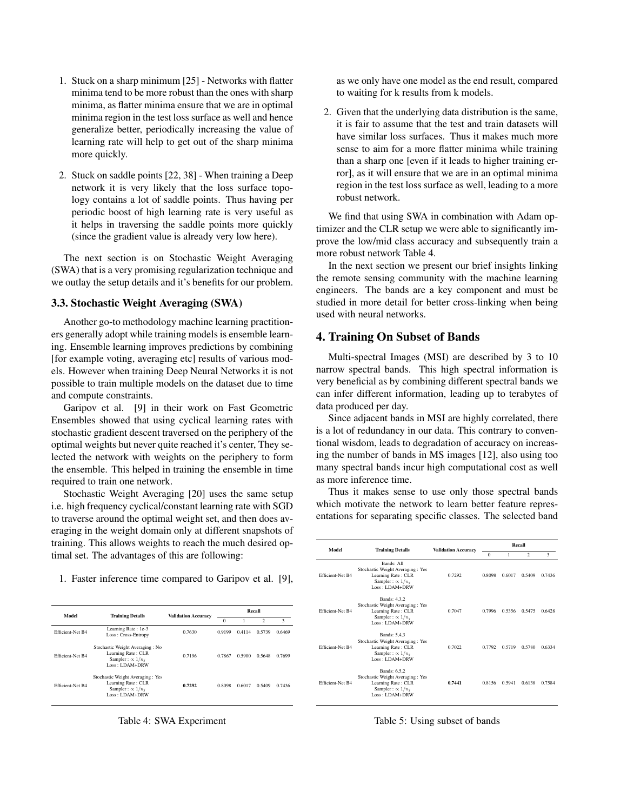- 1. Stuck on a sharp minimum [25] Networks with flatter minima tend to be more robust than the ones with sharp minima, as flatter minima ensure that we are in optimal minima region in the test loss surface as well and hence generalize better, periodically increasing the value of learning rate will help to get out of the sharp minima more quickly.
- 2. Stuck on saddle points [22, 38] When training a Deep network it is very likely that the loss surface topology contains a lot of saddle points. Thus having per periodic boost of high learning rate is very useful as it helps in traversing the saddle points more quickly (since the gradient value is already very low here).

The next section is on Stochastic Weight Averaging (SWA) that is a very promising regularization technique and we outlay the setup details and it's benefits for our problem.

# 3.3. Stochastic Weight Averaging (SWA)

Another go-to methodology machine learning practitioners generally adopt while training models is ensemble learning. Ensemble learning improves predictions by combining [for example voting, averaging etc] results of various models. However when training Deep Neural Networks it is not possible to train multiple models on the dataset due to time and compute constraints.

Garipov et al. [9] in their work on Fast Geometric Ensembles showed that using cyclical learning rates with stochastic gradient descent traversed on the periphery of the optimal weights but never quite reached it's center, They selected the network with weights on the periphery to form the ensemble. This helped in training the ensemble in time required to train one network.

Stochastic Weight Averaging [20] uses the same setup i.e. high frequency cyclical/constant learning rate with SGD to traverse around the optimal weight set, and then does averaging in the weight domain only at different snapshots of training. This allows weights to reach the much desired optimal set. The advantages of this are following:

1. Faster inference time compared to Garipov et al. [9],

| Model                   |                                                                                                         |                            | Recall   |        |                |        |
|-------------------------|---------------------------------------------------------------------------------------------------------|----------------------------|----------|--------|----------------|--------|
|                         | <b>Training Details</b>                                                                                 | <b>Validation Accuracy</b> | $\Omega$ |        | $\mathfrak{D}$ | 3      |
| <b>Efficient-Net B4</b> | Learning Rate: 1e-3<br>Loss: Cross-Entropy                                                              | 0.7630                     | 0.9199   | 0.4114 | 0.5739         | 0.6469 |
| <b>Efficient-Net B4</b> | Stochastic Weight Averaging: No<br>Learning Rate: CLR<br>Sampler : $\propto 1/n_i$<br>$Loss: LDAM+DRW$  | 0.7196                     | 0.7867   | 0.5900 | 0.5648         | 0.7699 |
| <b>Efficient-Net B4</b> | Stochastic Weight Averaging: Yes<br>Learning Rate: CLR<br>Sampler : $\propto 1/n_i$<br>$Loss: LDAM+DRW$ | 0.7292                     | 0.8098   | 0.6017 | 0.5409         | 0.7436 |

Table 4: SWA Experiment

as we only have one model as the end result, compared to waiting for k results from k models.

2. Given that the underlying data distribution is the same, it is fair to assume that the test and train datasets will have similar loss surfaces. Thus it makes much more sense to aim for a more flatter minima while training than a sharp one [even if it leads to higher training error], as it will ensure that we are in an optimal minima region in the test loss surface as well, leading to a more robust network.

We find that using SWA in combination with Adam optimizer and the CLR setup we were able to significantly improve the low/mid class accuracy and subsequently train a more robust network Table 4.

In the next section we present our brief insights linking the remote sensing community with the machine learning engineers. The bands are a key component and must be studied in more detail for better cross-linking when being used with neural networks.

## 4. Training On Subset of Bands

Multi-spectral Images (MSI) are described by 3 to 10 narrow spectral bands. This high spectral information is very beneficial as by combining different spectral bands we can infer different information, leading up to terabytes of data produced per day.

Since adjacent bands in MSI are highly correlated, there is a lot of redundancy in our data. This contrary to conventional wisdom, leads to degradation of accuracy on increasing the number of bands in MS images [12], also using too many spectral bands incur high computational cost as well as more inference time.

Thus it makes sense to use only those spectral bands which motivate the network to learn better feature representations for separating specific classes. The selected band

| Model            | <b>Training Details</b>                                                                                                 | <b>Validation Accuracy</b> | Recall       |        |                |        |
|------------------|-------------------------------------------------------------------------------------------------------------------------|----------------------------|--------------|--------|----------------|--------|
|                  |                                                                                                                         |                            | $\mathbf{0}$ | 1      | $\mathfrak{D}$ | 3      |
| Efficient-Net B4 | Bands: All<br>Stochastic Weight Averaging: Yes<br>Learning Rate: CLR<br>Sampler : $\propto 1/n_i$<br>$Loss: LDAM+DRW$   | 0.7292                     | 0.8098       | 0.6017 | 0.5409         | 0.7436 |
| Efficient-Net B4 | Bands: 4.3.2<br>Stochastic Weight Averaging: Yes<br>Learning Rate: CLR<br>Sampler : $\propto 1/n_i$<br>$Loss: LDAM+DRW$ | 0.7047                     | 0.7996       | 0.5356 | 0.5475         | 0.6428 |
| Efficient-Net B4 | Bands: 5.4.3<br>Stochastic Weight Averaging: Yes<br>Learning Rate: CLR<br>Sampler: $\propto 1/n_i$<br>$Loss: LDAM+DRW$  | 0.7022                     | 0.7792       | 0.5719 | 0.5780         | 0.6334 |
| Efficient-Net B4 | Bands: 6,5,2<br>Stochastic Weight Averaging: Yes<br>Learning Rate: CLR<br>Sampler : $\propto 1/n_i$<br>$Loss: LDAM+DRW$ | 0.7441                     | 0.8156       | 0.5941 | 0.6138         | 0.7584 |

Table 5: Using subset of bands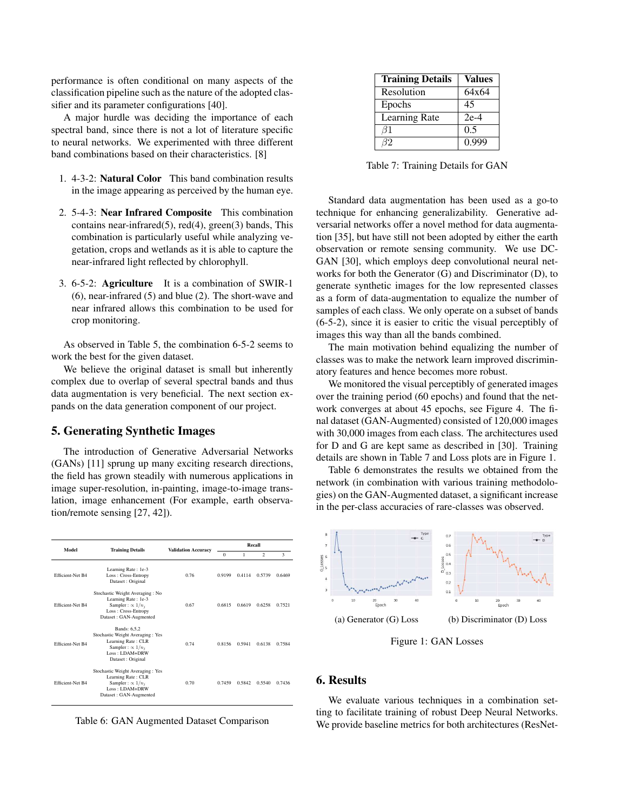performance is often conditional on many aspects of the classification pipeline such as the nature of the adopted classifier and its parameter configurations [40].

A major hurdle was deciding the importance of each spectral band, since there is not a lot of literature specific to neural networks. We experimented with three different band combinations based on their characteristics. [8]

- 1. 4-3-2: Natural Color This band combination results in the image appearing as perceived by the human eye.
- 2. 5-4-3: Near Infrared Composite This combination contains near-infrared $(5)$ , red $(4)$ , green $(3)$  bands, This combination is particularly useful while analyzing vegetation, crops and wetlands as it is able to capture the near-infrared light reflected by chlorophyll.
- 3. 6-5-2: Agriculture It is a combination of SWIR-1 (6), near-infrared (5) and blue (2). The short-wave and near infrared allows this combination to be used for crop monitoring.

As observed in Table 5, the combination 6-5-2 seems to work the best for the given dataset.

We believe the original dataset is small but inherently complex due to overlap of several spectral bands and thus data augmentation is very beneficial. The next section expands on the data generation component of our project.

# 5. Generating Synthetic Images

The introduction of Generative Adversarial Networks (GANs) [11] sprung up many exciting research directions, the field has grown steadily with numerous applications in image super-resolution, in-painting, image-to-image translation, image enhancement (For example, earth observation/remote sensing [27, 42]).

| Model            | <b>Training Details</b>                                                                                                                     | <b>Validation Accuracy</b> | Recall   |        |                |        |
|------------------|---------------------------------------------------------------------------------------------------------------------------------------------|----------------------------|----------|--------|----------------|--------|
|                  |                                                                                                                                             |                            | $\Omega$ | 1      | $\mathfrak{D}$ | 3      |
| Efficient-Net B4 | Learning Rate: 1e-3<br>Loss: Cross-Entropy<br>Dataset: Original                                                                             | 0.76                       | 0.9199   | 0.4114 | 0.5739         | 0.6469 |
| Efficient-Net B4 | Stochastic Weight Averaging: No<br>Learning Rate: 1e-3<br>Sampler : $\propto 1/n_i$<br>Loss: Cross-Entropy<br>Dataset: GAN-Augmented        | 0.67                       | 0.6815   | 0.6619 | 0.6258         | 0.7521 |
| Efficient-Net B4 | Bands: 6.5.2<br>Stochastic Weight Averaging: Yes<br>Learning Rate: CLR<br>Sampler: $\propto 1/n_i$<br>$Loss: LDAM+DRW$<br>Dataset: Original | 0.74                       | 0.8156   | 0.5941 | 0.6138         | 0.7584 |
| Efficient-Net B4 | Stochastic Weight Averaging: Yes<br>Learning Rate: CLR<br>Sampler : $\propto 1/n_i$<br>$Loss: LDAM+DRW$<br>Dataset: GAN-Augmented           | 0.70                       | 0.7459   | 0.5842 | 0.5540         | 0.7436 |

Table 6: GAN Augmented Dataset Comparison

| <b>Training Details</b> | <b>Values</b> |
|-------------------------|---------------|
| Resolution              | 64x64         |
| Epochs                  | 45            |
| Learning Rate           | $2e-4$        |
| 61                      | 0.5           |
| 32                      | 0.999         |

Table 7: Training Details for GAN

Standard data augmentation has been used as a go-to technique for enhancing generalizability. Generative adversarial networks offer a novel method for data augmentation [35], but have still not been adopted by either the earth observation or remote sensing community. We use DC-GAN [30], which employs deep convolutional neural networks for both the Generator (G) and Discriminator (D), to generate synthetic images for the low represented classes as a form of data-augmentation to equalize the number of samples of each class. We only operate on a subset of bands (6-5-2), since it is easier to critic the visual perceptibly of images this way than all the bands combined.

The main motivation behind equalizing the number of classes was to make the network learn improved discriminatory features and hence becomes more robust.

We monitored the visual perceptibly of generated images over the training period (60 epochs) and found that the network converges at about 45 epochs, see Figure 4. The final dataset (GAN-Augmented) consisted of 120,000 images with 30,000 images from each class. The architectures used for D and G are kept same as described in [30]. Training details are shown in Table 7 and Loss plots are in Figure 1.

Table 6 demonstrates the results we obtained from the network (in combination with various training methodologies) on the GAN-Augmented dataset, a significant increase in the per-class accuracies of rare-classes was observed.



Figure 1: GAN Losses

#### 6. Results

We evaluate various techniques in a combination setting to facilitate training of robust Deep Neural Networks. We provide baseline metrics for both architectures (ResNet-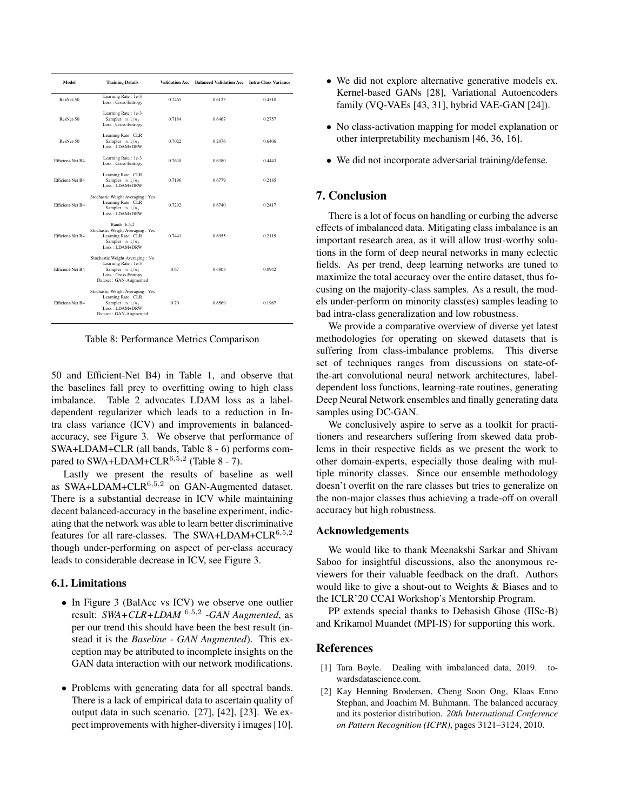| Model            | <b>Training Details</b>                                                                                                             | Validation Acc | <b>Balanced Validation Acc</b> | <b>Intra-Class Variance</b> |
|------------------|-------------------------------------------------------------------------------------------------------------------------------------|----------------|--------------------------------|-----------------------------|
| ResNet-50        | Learning Rate: le-3<br>Loss: Cross-Entropy                                                                                          | 0.7465         | 0.6123                         | 0.4510                      |
| ResNet-50        | Learning Rate: le-3<br>Sampler : $\propto 1/n_i$<br>Loss: Cross-Entropy                                                             | 0.7184         | 0.6467                         | 0.2757                      |
| ResNet-50        | Learning Rate: CLR<br>Sampler : $\propto 1/n_i$<br>$Loss: LDAM+DRW$                                                                 | 0.7022         | 0.2076                         | 0.6406                      |
| Efficient-Net B4 | Learning Rate: le-3<br>Loss: Cross-Entropy                                                                                          | 0.7630         | 0.6380                         | 0.4443                      |
| Efficient-Net B4 | Learning Rate: CLR<br>Sampler: $\propto 1/n_i$<br>$Loss: I.DAM+DRW$                                                                 | 0.7196         | 0.6779                         | 0.2185                      |
| Efficient-Net B4 | Stochastic Weight Averaging: Yes<br>Learning Rate: CLR<br>Sampler: $\propto 1/n_i$<br>$Loss: I.DAM+DRW$                             | 0.7292         | 0.6740                         | 0.2417                      |
| Efficient-Net B4 | Bands: 6.5.2<br>Stochastic Weight Averaging: Yes<br>Learning Rate: CLR<br>Sampler: $\propto 1/n_i$<br>$Loss: I.DAM+DRW$             | 0.7441         | 0.6955                         | 0.2115                      |
| Efficient-Net B4 | Stochastic Weight Averaging: No<br>Learning Rate: le-3<br>Sampler: $\propto 1/n_i$<br>Loss: Cross-Entropy<br>Dataset: GAN-Augmented | 0.67           | 0.6803                         | 0.0942                      |
| Efficient-Net B4 | Stochastic Weight Averaging: Yes<br>Learning Rate: CLR<br>Sampler: $\propto 1/n_i$<br>Loss: LDAM+DRW<br>Dataset: GAN-Augmented      | 0.70           | 0.6569                         | 0.1967                      |

Table 8: Performance Metrics Comparison

50 and Efficient-Net B4) in Table 1, and observe that the baselines fall prey to overfitting owing to high class imbalance. Table 2 advocates LDAM loss as a labeldependent regularizer which leads to a reduction in Intra class variance (ICV) and improvements in balancedaccuracy, see Figure 3. We observe that performance of SWA+LDAM+CLR (all bands, Table 8 - 6) performs compared to SWA+LDAM+CLR<sup>6,5,2</sup> (Table 8 - 7).

Lastly we present the results of baseline as well as  $SWA+LDAM+CLR^{6,5,2}$  on GAN-Augmented dataset. There is a substantial decrease in ICV while maintaining decent balanced-accuracy in the baseline experiment, indicating that the network was able to learn better discriminative features for all rare-classes. The SWA+LDAM+CLR<sup>6,5,2</sup> though under-performing on aspect of per-class accuracy leads to considerable decrease in ICV, see Figure 3.

#### 6.1. Limitations

- In Figure 3 (BalAcc vs ICV) we observe one outlier result: *SWA+CLR+LDAM* <sup>6</sup>,5,<sup>2</sup> *-GAN Augmented*, as per our trend this should have been the best result (instead it is the *Baseline - GAN Augmented*). This exception may be attributed to incomplete insights on the GAN data interaction with our network modifications.
- Problems with generating data for all spectral bands. There is a lack of empirical data to ascertain quality of output data in such scenario. [27], [42], [23]. We expect improvements with higher-diversity i images [10].
- We did not explore alternative generative models ex. Kernel-based GANs [28], Variational Autoencoders family (VQ-VAEs [43, 31], hybrid VAE-GAN [24]).
- No class-activation mapping for model explanation or other interpretability mechanism [46, 36, 16].
- We did not incorporate adversarial training/defense.

# 7. Conclusion

There is a lot of focus on handling or curbing the adverse effects of imbalanced data. Mitigating class imbalance is an important research area, as it will allow trust-worthy solutions in the form of deep neural networks in many eclectic fields. As per trend, deep learning networks are tuned to maximize the total accuracy over the entire dataset, thus focusing on the majority-class samples. As a result, the models under-perform on minority class(es) samples leading to bad intra-class generalization and low robustness.

We provide a comparative overview of diverse yet latest methodologies for operating on skewed datasets that is suffering from class-imbalance problems. This diverse set of techniques ranges from discussions on state-ofthe-art convolutional neural network architectures, labeldependent loss functions, learning-rate routines, generating Deep Neural Network ensembles and finally generating data samples using DC-GAN.

We conclusively aspire to serve as a toolkit for practitioners and researchers suffering from skewed data problems in their respective fields as we present the work to other domain-experts, especially those dealing with multiple minority classes. Since our ensemble methodology doesn't overfit on the rare classes but tries to generalize on the non-major classes thus achieving a trade-off on overall accuracy but high robustness.

## Acknowledgements

We would like to thank Meenakshi Sarkar and Shivam Saboo for insightful discussions, also the anonymous reviewers for their valuable feedback on the draft. Authors would like to give a shout-out to Weights & Biases and to the ICLR'20 CCAI Workshop's Mentorship Program.

PP extends special thanks to Debasish Ghose (IISc-B) and Krikamol Muandet (MPI-IS) for supporting this work.

#### References

- [1] Tara Boyle. Dealing with imbalanced data, 2019. towardsdatascience.com.
- [2] Kay Henning Brodersen, Cheng Soon Ong, Klaas Enno Stephan, and Joachim M. Buhmann. The balanced accuracy and its posterior distribution. *20th International Conference on Pattern Recognition (ICPR)*, pages 3121–3124, 2010.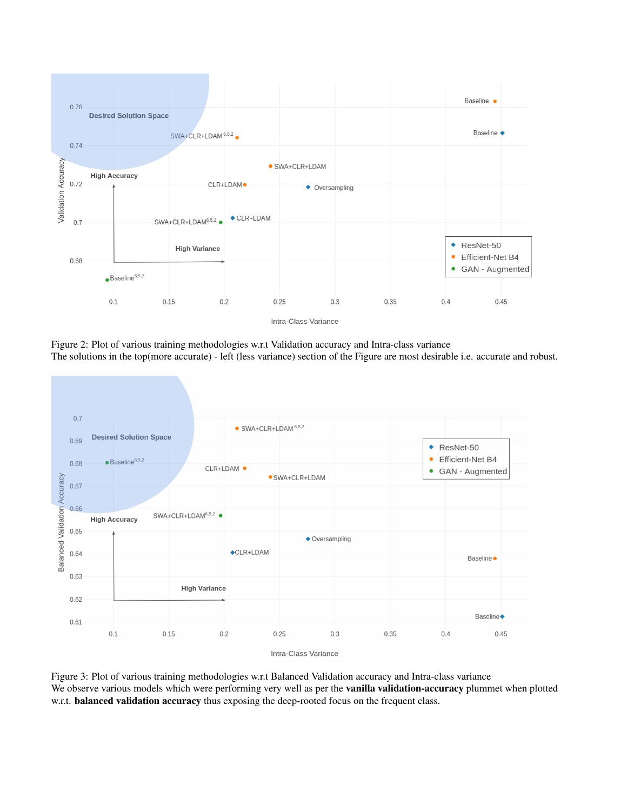

Figure 2: Plot of various training methodologies w.r.t Validation accuracy and Intra-class variance The solutions in the top(more accurate) - left (less variance) section of the Figure are most desirable i.e. accurate and robust.



Figure 3: Plot of various training methodologies w.r.t Balanced Validation accuracy and Intra-class variance We observe various models which were performing very well as per the **vanilla validation-accuracy** plummet when plotted w.r.t. **balanced validation accuracy** thus exposing the deep-rooted focus on the frequent class.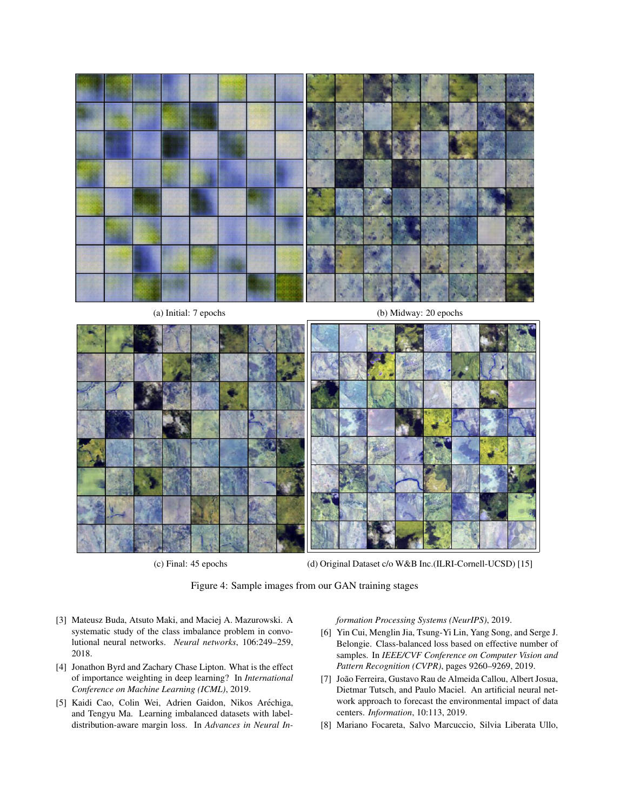

(a) Initial: 7 epochs (b) Midway: 20 epochs



(c) Final: 45 epochs (d) Original Dataset c/o W&B Inc.(ILRI-Cornell-UCSD) [15]

Figure 4: Sample images from our GAN training stages

- [3] Mateusz Buda, Atsuto Maki, and Maciej A. Mazurowski. A systematic study of the class imbalance problem in convolutional neural networks. *Neural networks*, 106:249–259, 2018.
- [4] Jonathon Byrd and Zachary Chase Lipton. What is the effect of importance weighting in deep learning? In *International Conference on Machine Learning (ICML)*, 2019.
- [5] Kaidi Cao, Colin Wei, Adrien Gaidon, Nikos Arechiga, ´ and Tengyu Ma. Learning imbalanced datasets with labeldistribution-aware margin loss. In *Advances in Neural In-*

*formation Processing Systems (NeurIPS)*, 2019.

- [6] Yin Cui, Menglin Jia, Tsung-Yi Lin, Yang Song, and Serge J. Belongie. Class-balanced loss based on effective number of samples. In *IEEE/CVF Conference on Computer Vision and Pattern Recognition (CVPR)*, pages 9260–9269, 2019.
- [7] Joao Ferreira, Gustavo Rau de Almeida Callou, Albert Josua, ˜ Dietmar Tutsch, and Paulo Maciel. An artificial neural network approach to forecast the environmental impact of data centers. *Information*, 10:113, 2019.
- [8] Mariano Focareta, Salvo Marcuccio, Silvia Liberata Ullo,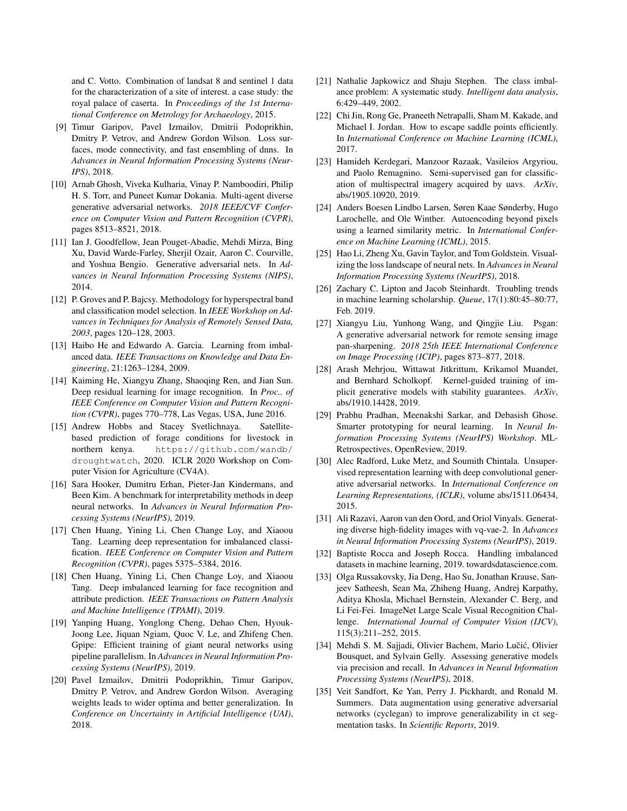and C. Votto. Combination of landsat 8 and sentinel 1 data for the characterization of a site of interest. a case study: the royal palace of caserta. In *Proceedings of the 1st International Conference on Metrology for Archaeology*, 2015.

- [9] Timur Garipov, Pavel Izmailov, Dmitrii Podoprikhin, Dmitry P. Vetrov, and Andrew Gordon Wilson. Loss surfaces, mode connectivity, and fast ensembling of dnns. In *Advances in Neural Information Processing Systems (Neur-IPS)*, 2018.
- [10] Arnab Ghosh, Viveka Kulharia, Vinay P. Namboodiri, Philip H. S. Torr, and Puneet Kumar Dokania. Multi-agent diverse generative adversarial networks. *2018 IEEE/CVF Conference on Computer Vision and Pattern Recognition (CVPR)*, pages 8513–8521, 2018.
- [11] Ian J. Goodfellow, Jean Pouget-Abadie, Mehdi Mirza, Bing Xu, David Warde-Farley, Sherjil Ozair, Aaron C. Courville, and Yoshua Bengio. Generative adversarial nets. In *Advances in Neural Information Processing Systems (NIPS)*, 2014.
- [12] P. Groves and P. Bajcsy. Methodology for hyperspectral band and classification model selection. In *IEEE Workshop on Advances in Techniques for Analysis of Remotely Sensed Data, 2003*, pages 120–128, 2003.
- [13] Haibo He and Edwardo A. Garcia. Learning from imbalanced data. *IEEE Transactions on Knowledge and Data Engineering*, 21:1263–1284, 2009.
- [14] Kaiming He, Xiangyu Zhang, Shaoqing Ren, and Jian Sun. Deep residual learning for image recognition. In *Proc.. of IEEE Conference on Computer Vision and Pattern Recognition (CVPR)*, pages 770–778, Las Vegas, USA, June 2016.
- [15] Andrew Hobbs and Stacey Svetlichnaya. Satellitebased prediction of forage conditions for livestock in northern kenya. https://github.com/wandb/ droughtwatch, 2020. ICLR 2020 Workshop on Computer Vision for Agriculture (CV4A).
- [16] Sara Hooker, Dumitru Erhan, Pieter-Jan Kindermans, and Been Kim. A benchmark for interpretability methods in deep neural networks. In *Advances in Neural Information Processing Systems (NeurIPS)*, 2019.
- [17] Chen Huang, Yining Li, Chen Change Loy, and Xiaoou Tang. Learning deep representation for imbalanced classification. *IEEE Conference on Computer Vision and Pattern Recognition (CVPR)*, pages 5375–5384, 2016.
- [18] Chen Huang, Yining Li, Chen Change Loy, and Xiaoou Tang. Deep imbalanced learning for face recognition and attribute prediction. *IEEE Transactions on Pattern Analysis and Machine Intelligence (TPAMI)*, 2019.
- [19] Yanping Huang, Yonglong Cheng, Dehao Chen, Hyouk-Joong Lee, Jiquan Ngiam, Quoc V. Le, and Zhifeng Chen. Gpipe: Efficient training of giant neural networks using pipeline parallelism. In *Advances in Neural Information Processing Systems (NeurIPS)*, 2019.
- [20] Pavel Izmailov, Dmitrii Podoprikhin, Timur Garipov, Dmitry P. Vetrov, and Andrew Gordon Wilson. Averaging weights leads to wider optima and better generalization. In *Conference on Uncertainty in Artificial Intelligence (UAI)*, 2018.
- [21] Nathalie Japkowicz and Shaju Stephen. The class imbalance problem: A systematic study. *Intelligent data analysis*, 6:429–449, 2002.
- [22] Chi Jin, Rong Ge, Praneeth Netrapalli, Sham M. Kakade, and Michael I. Jordan. How to escape saddle points efficiently. In *International Conference on Machine Learning (ICML)*, 2017.
- [23] Hamideh Kerdegari, Manzoor Razaak, Vasileios Argyriou, and Paolo Remagnino. Semi-supervised gan for classification of multispectral imagery acquired by uavs. *ArXiv*, abs/1905.10920, 2019.
- [24] Anders Boesen Lindbo Larsen, Søren Kaae Sønderby, Hugo Larochelle, and Ole Winther. Autoencoding beyond pixels using a learned similarity metric. In *International Conference on Machine Learning (ICML)*, 2015.
- [25] Hao Li, Zheng Xu, Gavin Taylor, and Tom Goldstein. Visualizing the loss landscape of neural nets. In *Advances in Neural Information Processing Systems (NeurIPS)*, 2018.
- [26] Zachary C. Lipton and Jacob Steinhardt. Troubling trends in machine learning scholarship. *Queue*, 17(1):80:45–80:77, Feb. 2019.
- [27] Xiangyu Liu, Yunhong Wang, and Qingjie Liu. Psgan: A generative adversarial network for remote sensing image pan-sharpening. *2018 25th IEEE International Conference on Image Processing (ICIP)*, pages 873–877, 2018.
- [28] Arash Mehrjou, Wittawat Jitkrittum, Krikamol Muandet, and Bernhard Scholkopf. Kernel-guided training of implicit generative models with stability guarantees. *ArXiv*, abs/1910.14428, 2019.
- [29] Prabhu Pradhan, Meenakshi Sarkar, and Debasish Ghose. Smarter prototyping for neural learning. In *Neural Information Processing Systems (NeurIPS) Workshop*. ML-Retrospectives, OpenReview, 2019.
- [30] Alec Radford, Luke Metz, and Soumith Chintala. Unsupervised representation learning with deep convolutional generative adversarial networks. In *International Conference on Learning Representations, (ICLR)*, volume abs/1511.06434, 2015.
- [31] Ali Razavi, Aaron van den Oord, and Oriol Vinyals. Generating diverse high-fidelity images with vq-vae-2. In *Advances in Neural Information Processing Systems (NeurIPS)*, 2019.
- [32] Baptiste Rocca and Joseph Rocca. Handling imbalanced datasets in machine learning, 2019. towardsdatascience.com.
- [33] Olga Russakovsky, Jia Deng, Hao Su, Jonathan Krause, Sanjeev Satheesh, Sean Ma, Zhiheng Huang, Andrej Karpathy, Aditya Khosla, Michael Bernstein, Alexander C. Berg, and Li Fei-Fei. ImageNet Large Scale Visual Recognition Challenge. *International Journal of Computer Vision (IJCV)*, 115(3):211–252, 2015.
- [34] Mehdi S. M. Sajjadi, Olivier Bachem, Mario Lučić, Olivier Bousquet, and Sylvain Gelly. Assessing generative models via precision and recall. In *Advances in Neural Information Processing Systems (NeurIPS)*, 2018.
- [35] Veit Sandfort, Ke Yan, Perry J. Pickhardt, and Ronald M. Summers. Data augmentation using generative adversarial networks (cyclegan) to improve generalizability in ct segmentation tasks. In *Scientific Reports*, 2019.